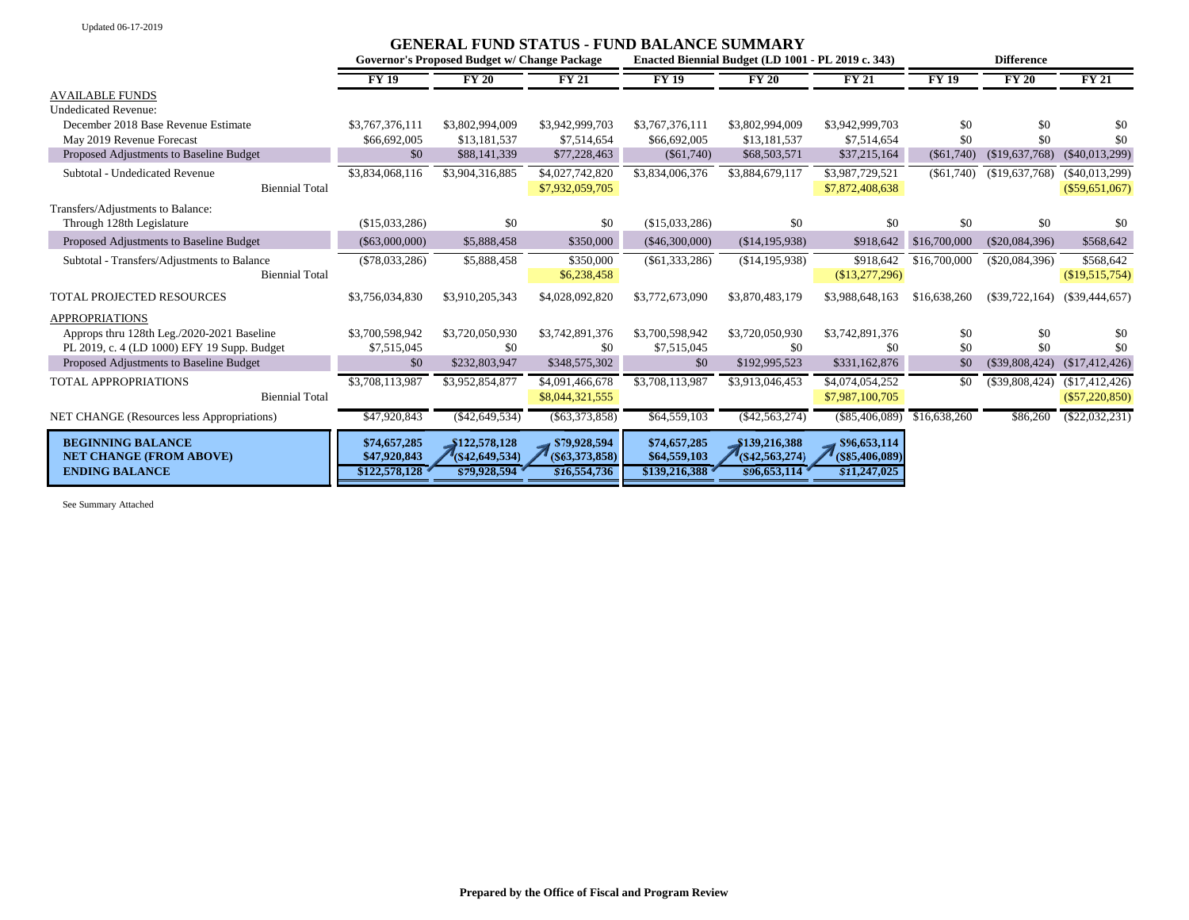Updated 06-17-2019

|                                                         | <b>GENERAL FUND STATUS - FUND BALANCE SUMMARY</b> |                                   |                                   |                                                    |                                 |                                   |                   |                  |                  |
|---------------------------------------------------------|---------------------------------------------------|-----------------------------------|-----------------------------------|----------------------------------------------------|---------------------------------|-----------------------------------|-------------------|------------------|------------------|
|                                                         | Governor's Proposed Budget w/ Change Package      |                                   |                                   | Enacted Biennial Budget (LD 1001 - PL 2019 c. 343) |                                 |                                   | <b>Difference</b> |                  |                  |
|                                                         | <b>FY 19</b>                                      | <b>FY 20</b>                      | <b>FY 21</b>                      | <b>FY 19</b>                                       | <b>FY 20</b>                    | <b>FY 21</b>                      | FY19              | FY20             | TY21             |
| <b>AVAILABLE FUNDS</b>                                  |                                                   |                                   |                                   |                                                    |                                 |                                   |                   |                  |                  |
| <b>Undedicated Revenue:</b>                             |                                                   |                                   |                                   |                                                    |                                 |                                   |                   |                  |                  |
| December 2018 Base Revenue Estimate                     | \$3,767,376,111                                   | \$3,802,994,009                   | \$3,942,999,703                   | \$3,767,376,111                                    | \$3,802,994,009                 | \$3,942,999,703                   | \$0               | \$0              | -\$0             |
| May 2019 Revenue Forecast                               | \$66,692,005                                      | \$13,181,537                      | \$7,514,654                       | \$66,692,005                                       | \$13,181,537                    | \$7,514,654                       | \$0               | \$0              | \$0              |
| Proposed Adjustments to Baseline Budget                 | \$0                                               | \$88,141,339                      | \$77,228,463                      | $(\$61,740)$                                       | \$68,503,571                    | \$37,215,164                      | $(\$61,740)$      | (\$19,637,768)   | $(\$40,013,299)$ |
| Subtotal - Undedicated Revenue                          | \$3,834,068,116                                   | \$3,904,316,885                   | \$4,027,742,820                   | \$3,834,006,376                                    | \$3,884,679,117                 | \$3,987,729,521                   | $(\$61,740)$      | (\$19,637,768)   | $(\$40,013,299)$ |
| <b>Biennial Total</b>                                   |                                                   |                                   | \$7,932,059,705                   |                                                    |                                 | \$7,872,408,638                   |                   |                  | $(\$59,651,067)$ |
| Transfers/Adjustments to Balance:                       |                                                   |                                   |                                   |                                                    |                                 |                                   |                   |                  |                  |
| Through 128th Legislature                               | (\$15,033,286)                                    | \$0                               | \$0                               | (\$15,033,286)                                     | \$0                             | \$0                               | \$0               | \$0              | -\$0             |
| Proposed Adjustments to Baseline Budget                 | $(\$63,000,000)$                                  | \$5,888,458                       | \$350,000                         | $(\$46,300,000)$                                   | (\$14,195,938)                  | \$918,642                         | \$16,700,000      | $(\$20,084,396)$ | \$568,642        |
| Subtotal - Transfers/Adjustments to Balance             | $(\$78,033,286)$                                  | \$5,888,458                       | \$350,000                         | $(\$61,333,286)$                                   | (\$14,195,938)                  | \$918,642                         | \$16,700,000      | $(\$20,084,396)$ | \$568,642        |
| <b>Biennial Total</b>                                   |                                                   |                                   | \$6,238,458                       |                                                    |                                 | (\$13,277,296)                    |                   |                  | (\$19,515,754)   |
| TOTAL PROJECTED RESOURCES                               | \$3,756,034,830                                   | \$3,910,205,343                   | \$4,028,092,820                   | \$3,772,673,090                                    | \$3,870,483,179                 | \$3,988,648,163                   | \$16,638,260      | $(\$39,722,164)$ | $(\$39,444,657)$ |
| <b>APPROPRIATIONS</b>                                   |                                                   |                                   |                                   |                                                    |                                 |                                   |                   |                  |                  |
| Approps thru 128th Leg./2020-2021 Baseline              | \$3,700,598,942                                   | \$3,720,050,930                   | \$3,742,891,376                   | \$3,700,598,942                                    | \$3,720,050,930                 | \$3,742,891,376                   | \$0               | \$0              | \$0              |
| PL 2019, c. 4 (LD 1000) EFY 19 Supp. Budget             | \$7,515,045                                       | \$0                               | \$0                               | \$7,515,045                                        | \$0                             | \$0                               | \$0               | \$0              | \$0              |
| Proposed Adjustments to Baseline Budget                 | \$0                                               | \$232,803,947                     | \$348,575,302                     | \$0                                                | \$192,995,523                   | \$331,162,876                     | \$0               | $(\$39,808,424)$ | (\$17,412,426)   |
| TOTAL APPROPRIATIONS                                    | \$3,708,113,987                                   | \$3,952,854,877                   | \$4,091,466,678                   | \$3,708,113,987                                    | \$3,913,046,453                 | \$4,074,054,252                   | \$0               | (\$39,808,424)   | (\$17,412,426)   |
| <b>Biennial Total</b>                                   |                                                   |                                   | \$8,044,321,555                   |                                                    |                                 | \$7,987,100,705                   |                   |                  | $(\$57,220,850)$ |
| NET CHANGE (Resources less Appropriations)              | \$47,920,843                                      | $(\$42,649,534)$                  | ( \$63,373,858)                   | \$64,559,103                                       | (\$42,563,274)                  | $(\$85,406,089)$                  | \$16,638,260      | \$86,260         | $(\$22,032,231)$ |
| <b>BEGINNING BALANCE</b>                                | \$74,657,285                                      | \$122,578,128                     | \$79,928,594                      | \$74,657,285                                       | \$139,216,388                   | \$96,653,114                      |                   |                  |                  |
| <b>NET CHANGE (FROM ABOVE)</b><br><b>ENDING BALANCE</b> | \$47,920,843<br>\$122,578,128                     | $($ \$42,649,534)<br>\$79,928,594 | $($ \$63,373,858)<br>\$16,554,736 | \$64,559,103<br>\$139,216,388                      | (S42, 563, 274)<br>\$96,653,114 | $($ \$85,406,089)<br>\$11,247,025 |                   |                  |                  |

See Summary Attached